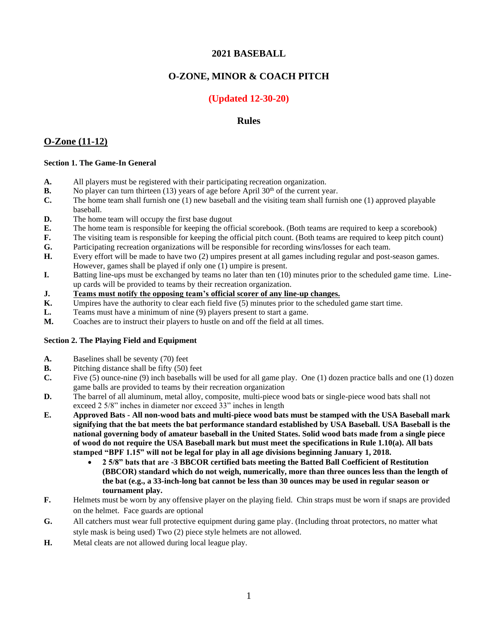# **2021 BASEBALL**

# **O-ZONE, MINOR & COACH PITCH**

# **(Updated 12-30-20)**

## **Rules**

## **O-Zone (11-12)**

### **Section 1. The Game-In General**

- **A.** All players must be registered with their participating recreation organization.
- **B.** No player can turn thirteen  $(13)$  years of age before April  $30<sup>th</sup>$  of the current year.
- **C.** The home team shall furnish one (1) new baseball and the visiting team shall furnish one (1) approved playable baseball.
- **D.** The home team will occupy the first base dugout
- **E.** The home team is responsible for keeping the official scorebook. (Both teams are required to keep a scorebook)
- **F.** The visiting team is responsible for keeping the official pitch count. (Both teams are required to keep pitch count)
- **G.** Participating recreation organizations will be responsible for recording wins/losses for each team.
- **H.** Every effort will be made to have two (2) umpires present at all games including regular and post-season games. However, games shall be played if only one (1) umpire is present.
- **I.** Batting line-ups must be exchanged by teams no later than ten (10) minutes prior to the scheduled game time. Lineup cards will be provided to teams by their recreation organization.
- **J. Teams must notify the opposing team's official scorer of any line-up changes.**
- **K.** Umpires have the authority to clear each field five (5) minutes prior to the scheduled game start time.
- **L.** Teams must have a minimum of nine (9) players present to start a game.
- **M.** Coaches are to instruct their players to hustle on and off the field at all times.

#### **Section 2. The Playing Field and Equipment**

- **A.** Baselines shall be seventy (70) feet
- **B.** Pitching distance shall be fifty (50) feet
- **C.** Five (5) ounce-nine (9) inch baseballs will be used for all game play. One (1) dozen practice balls and one (1) dozen game balls are provided to teams by their recreation organization
- **D.** The barrel of all aluminum, metal alloy, composite, multi-piece wood bats or single-piece wood bats shall not exceed 2 5/8" inches in diameter nor exceed 33" inches in length
- **E. Approved Bats - All non-wood bats and multi-piece wood bats must be stamped with the USA Baseball mark signifying that the bat meets the bat performance standard established by USA Baseball. USA Baseball is the national governing body of amateur baseball in the United States. Solid wood bats made from a single piece of wood do not require the USA Baseball mark but must meet the specifications in Rule 1.10(a). All bats stamped "BPF 1.15" will not be legal for play in all age divisions beginning January 1, 2018.** 
	- **2 5/8" bats that are -3 BBCOR certified bats meeting the Batted Ball Coefficient of Restitution (BBCOR) standard which do not weigh, numerically, more than three ounces less than the length of the bat (e.g., a 33-inch-long bat cannot be less than 30 ounces may be used in regular season or tournament play.**
- **F.** Helmets must be worn by any offensive player on the playing field. Chin straps must be worn if snaps are provided on the helmet. Face guards are optional
- **G.** All catchers must wear full protective equipment during game play. (Including throat protectors, no matter what style mask is being used) Two (2) piece style helmets are not allowed.
- **H.** Metal cleats are not allowed during local league play.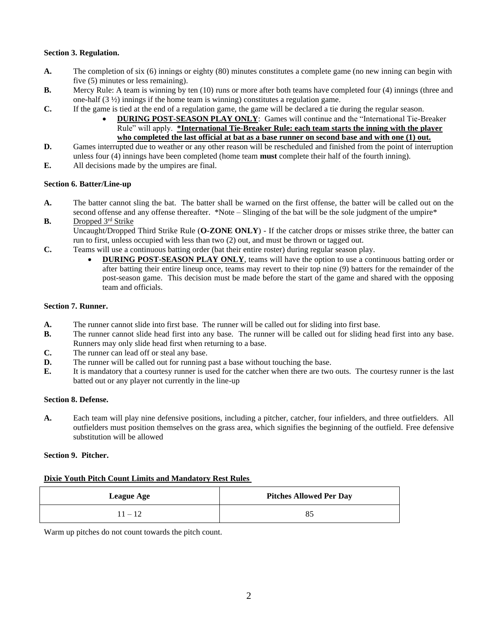### **Section 3. Regulation.**

- A. The completion of six (6) innings or eighty (80) minutes constitutes a complete game (no new inning can begin with five (5) minutes or less remaining).
- **B.** Mercy Rule: A team is winning by ten (10) runs or more after both teams have completed four (4) innings (three and one-half (3 ½) innings if the home team is winning) constitutes a regulation game.
- **C.** If the game is tied at the end of a regulation game, the game will be declared a tie during the regular season.
	- **DURING POST-SEASON PLAY ONLY**: Games will continue and the "International Tie-Breaker Rule" will apply. **\*International Tie-Breaker Rule: each team starts the inning with the player who completed the last official at bat as a base runner on second base and with one (1) out.**
- **D.** Games interrupted due to weather or any other reason will be rescheduled and finished from the point of interruption unless four (4) innings have been completed (home team **must** complete their half of the fourth inning).
- **E.** All decisions made by the umpires are final.

### **Section 6. Batter/Line-up**

- **A.** The batter cannot sling the bat. The batter shall be warned on the first offense, the batter will be called out on the second offense and any offense thereafter. \*Note – Slinging of the bat will be the sole judgment of the umpire\*
- **B.** Dropped 3rd Strike Uncaught/Dropped Third Strike Rule (**O-ZONE ONLY**) - If the catcher drops or misses strike three, the batter can run to first, unless occupied with less than two (2) out, and must be thrown or tagged out.
- **C.** Teams will use a continuous batting order (bat their entire roster) during regular season play.
	- **DURING POST-SEASON PLAY ONLY**, teams will have the option to use a continuous batting order or after batting their entire lineup once, teams may revert to their top nine (9) batters for the remainder of the post-season game. This decision must be made before the start of the game and shared with the opposing team and officials.

### **Section 7. Runner.**

- **A.** The runner cannot slide into first base. The runner will be called out for sliding into first base.
- **B.** The runner cannot slide head first into any base. The runner will be called out for sliding head first into any base. Runners may only slide head first when returning to a base.
- **C.** The runner can lead off or steal any base.
- **D.** The runner will be called out for running past a base without touching the base.
- **E.** It is mandatory that a courtesy runner is used for the catcher when there are two outs. The courtesy runner is the last batted out or any player not currently in the line-up

#### **Section 8. Defense.**

**A.** Each team will play nine defensive positions, including a pitcher, catcher, four infielders, and three outfielders. All outfielders must position themselves on the grass area, which signifies the beginning of the outfield. Free defensive substitution will be allowed

## **Section 9. Pitcher.**

## **Dixie Youth Pitch Count Limits and Mandatory Rest Rules**

| <b>League Age</b> | <b>Pitches Allowed Per Day</b> |
|-------------------|--------------------------------|
| $11 - 12$         | 85                             |

Warm up pitches do not count towards the pitch count.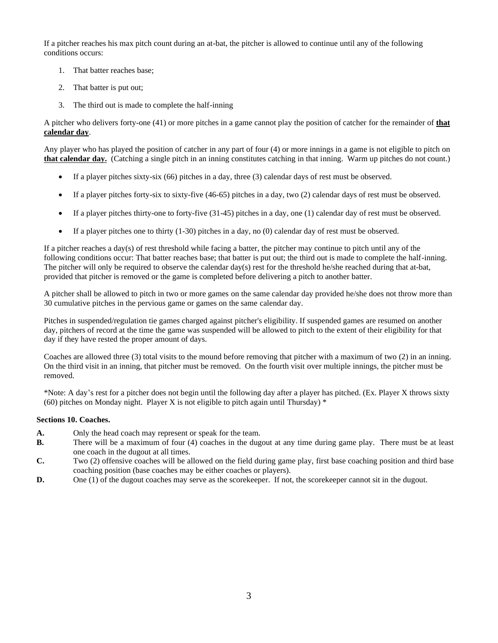If a pitcher reaches his max pitch count during an at-bat, the pitcher is allowed to continue until any of the following conditions occurs:

- 1. That batter reaches base;
- 2. That batter is put out;
- 3. The third out is made to complete the half-inning

A pitcher who delivers forty-one (41) or more pitches in a game cannot play the position of catcher for the remainder of **that calendar day**.

Any player who has played the position of catcher in any part of four (4) or more innings in a game is not eligible to pitch on **that calendar day.** (Catching a single pitch in an inning constitutes catching in that inning. Warm up pitches do not count.)

- If a player pitches sixty-six (66) pitches in a day, three (3) calendar days of rest must be observed.
- If a player pitches forty-six to sixty-five  $(46-65)$  pitches in a day, two  $(2)$  calendar days of rest must be observed.
- If a player pitches thirty-one to forty-five (31-45) pitches in a day, one (1) calendar day of rest must be observed.
- If a player pitches one to thirty  $(1-30)$  pitches in a day, no  $(0)$  calendar day of rest must be observed.

If a pitcher reaches a day(s) of rest threshold while facing a batter, the pitcher may continue to pitch until any of the following conditions occur: That batter reaches base; that batter is put out; the third out is made to complete the half-inning. The pitcher will only be required to observe the calendar day(s) rest for the threshold he/she reached during that at-bat, provided that pitcher is removed or the game is completed before delivering a pitch to another batter.

A pitcher shall be allowed to pitch in two or more games on the same calendar day provided he/she does not throw more than 30 cumulative pitches in the pervious game or games on the same calendar day.

Pitches in suspended/regulation tie games charged against pitcher's eligibility. If suspended games are resumed on another day, pitchers of record at the time the game was suspended will be allowed to pitch to the extent of their eligibility for that day if they have rested the proper amount of days.

Coaches are allowed three (3) total visits to the mound before removing that pitcher with a maximum of two (2) in an inning. On the third visit in an inning, that pitcher must be removed. On the fourth visit over multiple innings, the pitcher must be removed.

\*Note: A day's rest for a pitcher does not begin until the following day after a player has pitched. (Ex. Player X throws sixty (60) pitches on Monday night. Player X is not eligible to pitch again until Thursday)  $*$ 

#### **Sections 10. Coaches.**

- **A.** Only the head coach may represent or speak for the team.
- **B.** There will be a maximum of four (4) coaches in the dugout at any time during game play. There must be at least one coach in the dugout at all times.
- **C.** Two (2) offensive coaches will be allowed on the field during game play, first base coaching position and third base coaching position (base coaches may be either coaches or players).
- **D.** One (1) of the dugout coaches may serve as the scorekeeper. If not, the scorekeeper cannot sit in the dugout.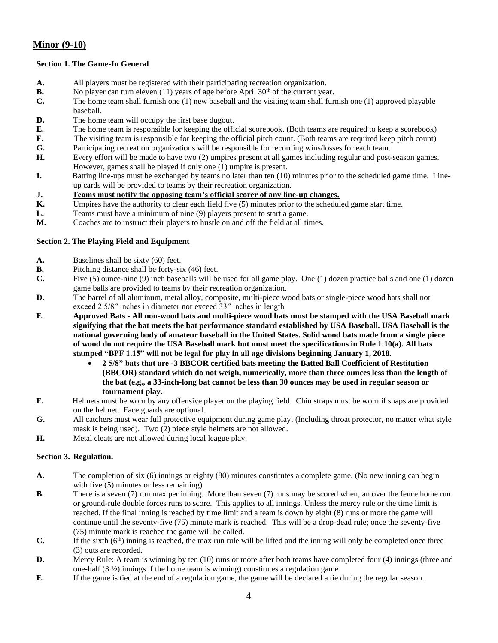# **Minor (9-10)**

## **Section 1. The Game-In General**

- **A.** All players must be registered with their participating recreation organization.
- **B.** No player can turn eleven  $(11)$  years of age before April  $30<sup>th</sup>$  of the current year.
- **C.** The home team shall furnish one (1) new baseball and the visiting team shall furnish one (1) approved playable baseball.
- **D.** The home team will occupy the first base dugout.
- **E.** The home team is responsible for keeping the official scorebook. (Both teams are required to keep a scorebook)
- **F.** The visiting team is responsible for keeping the official pitch count. (Both teams are required keep pitch count)
- **G.** Participating recreation organizations will be responsible for recording wins/losses for each team.
- **H.** Every effort will be made to have two (2) umpires present at all games including regular and post-season games. However, games shall be played if only one (1) umpire is present.
- **I.** Batting line-ups must be exchanged by teams no later than ten (10) minutes prior to the scheduled game time. Lineup cards will be provided to teams by their recreation organization.
- **J. Teams must notify the opposing team's official scorer of any line-up changes.**
- **K.** Umpires have the authority to clear each field five (5) minutes prior to the scheduled game start time.
- **L.** Teams must have a minimum of nine (9) players present to start a game.
- **M.** Coaches are to instruct their players to hustle on and off the field at all times.

## **Section 2. The Playing Field and Equipment**

- **A.** Baselines shall be sixty (60) feet.
- **B.** Pitching distance shall be forty-six (46) feet.
- **C.** Five (5) ounce-nine (9) inch baseballs will be used for all game play. One (1) dozen practice balls and one (1) dozen game balls are provided to teams by their recreation organization.
- **D.** The barrel of all aluminum, metal alloy, composite, multi-piece wood bats or single-piece wood bats shall not exceed 2 5/8" inches in diameter nor exceed 33" inches in length
- **E. Approved Bats - All non-wood bats and multi-piece wood bats must be stamped with the USA Baseball mark signifying that the bat meets the bat performance standard established by USA Baseball. USA Baseball is the national governing body of amateur baseball in the United States. Solid wood bats made from a single piece of wood do not require the USA Baseball mark but must meet the specifications in Rule 1.10(a). All bats stamped "BPF 1.15" will not be legal for play in all age divisions beginning January 1, 2018.** 
	- **2 5/8" bats that are -3 BBCOR certified bats meeting the Batted Ball Coefficient of Restitution (BBCOR) standard which do not weigh, numerically, more than three ounces less than the length of the bat (e.g., a 33-inch-long bat cannot be less than 30 ounces may be used in regular season or tournament play.**
- **F.** Helmets must be worn by any offensive player on the playing field. Chin straps must be worn if snaps are provided on the helmet. Face guards are optional.
- **G.** All catchers must wear full protective equipment during game play. (Including throat protector, no matter what style mask is being used). Two (2) piece style helmets are not allowed.
- **H.** Metal cleats are not allowed during local league play.

## **Section 3. Regulation.**

- **A.** The completion of six (6) innings or eighty (80) minutes constitutes a complete game. (No new inning can begin with five  $(5)$  minutes or less remaining)
- **B.** There is a seven (7) run max per inning. More than seven (7) runs may be scored when, an over the fence home run or ground-rule double forces runs to score. This applies to all innings. Unless the mercy rule or the time limit is reached. If the final inning is reached by time limit and a team is down by eight (8) runs or more the game will continue until the seventy-five (75) minute mark is reached. This will be a drop-dead rule; once the seventy-five (75) minute mark is reached the game will be called.
- **C.** If the sixth  $(6<sup>th</sup>)$  inning is reached, the max run rule will be lifted and the inning will only be completed once three (3) outs are recorded.
- **D.** Mercy Rule: A team is winning by ten (10) runs or more after both teams have completed four (4) innings (three and one-half (3 ½) innings if the home team is winning) constitutes a regulation game
- **E.** If the game is tied at the end of a regulation game, the game will be declared a tie during the regular season.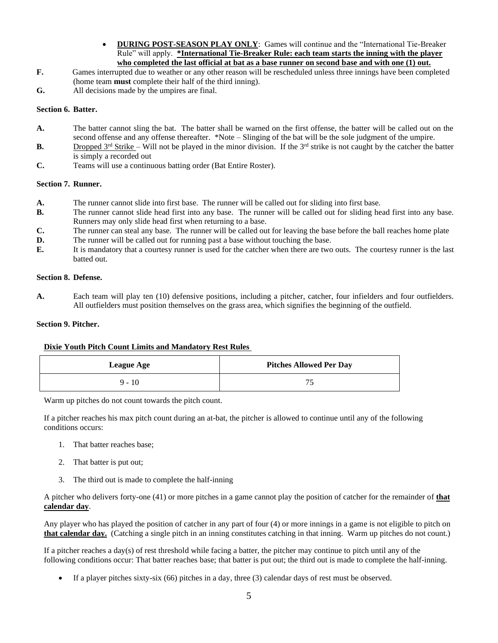- **DURING POST-SEASON PLAY ONLY**: Games will continue and the "International Tie-Breaker Rule" will apply. **\*International Tie-Breaker Rule: each team starts the inning with the player who completed the last official at bat as a base runner on second base and with one (1) out.**
- **F.** Games interrupted due to weather or any other reason will be rescheduled unless three innings have been completed (home team **must** complete their half of the third inning).
- **G.** All decisions made by the umpires are final.

### **Section 6. Batter.**

- **A.** The batter cannot sling the bat. The batter shall be warned on the first offense, the batter will be called out on the second offense and any offense thereafter. \*Note – Slinging of the bat will be the sole judgment of the umpire.
- **B.** Dropped  $3^{rd}$  Strike Will not be played in the minor division. If the  $3^{rd}$  strike is not caught by the catcher the batter is simply a recorded out
- **C.** Teams will use a continuous batting order (Bat Entire Roster).

### **Section 7. Runner.**

- **A.** The runner cannot slide into first base. The runner will be called out for sliding into first base.
- **B.** The runner cannot slide head first into any base. The runner will be called out for sliding head first into any base. Runners may only slide head first when returning to a base.
- **C.** The runner can steal any base. The runner will be called out for leaving the base before the ball reaches home plate
- **D.** The runner will be called out for running past a base without touching the base.
- **E.** It is mandatory that a courtesy runner is used for the catcher when there are two outs. The courtesy runner is the last batted out.

## **Section 8. Defense.**

A. Each team will play ten (10) defensive positions, including a pitcher, catcher, four infielders and four outfielders. All outfielders must position themselves on the grass area, which signifies the beginning of the outfield.

### **Section 9. Pitcher.**

## **Dixie Youth Pitch Count Limits and Mandatory Rest Rules**

| <b>League Age</b> | <b>Pitches Allowed Per Day</b> |
|-------------------|--------------------------------|
| $9 - 10$          |                                |

Warm up pitches do not count towards the pitch count.

If a pitcher reaches his max pitch count during an at-bat, the pitcher is allowed to continue until any of the following conditions occurs:

- 1. That batter reaches base;
- 2. That batter is put out;
- 3. The third out is made to complete the half-inning

A pitcher who delivers forty-one (41) or more pitches in a game cannot play the position of catcher for the remainder of **that calendar day**.

Any player who has played the position of catcher in any part of four (4) or more innings in a game is not eligible to pitch on **that calendar day.** (Catching a single pitch in an inning constitutes catching in that inning. Warm up pitches do not count.)

If a pitcher reaches a day(s) of rest threshold while facing a batter, the pitcher may continue to pitch until any of the following conditions occur: That batter reaches base; that batter is put out; the third out is made to complete the half-inning.

• If a player pitches sixty-six (66) pitches in a day, three (3) calendar days of rest must be observed.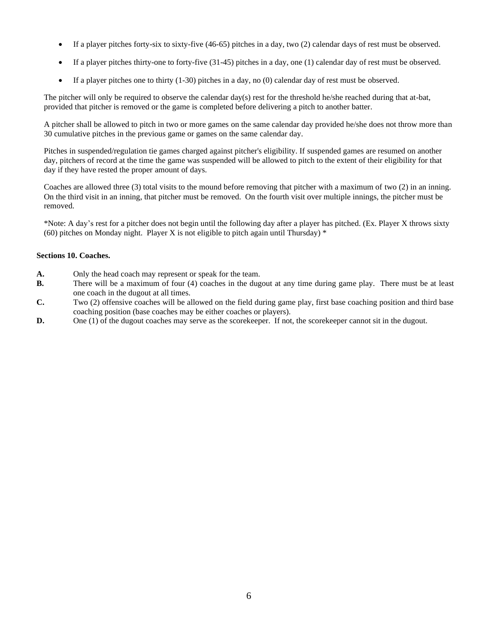- If a player pitches forty-six to sixty-five (46-65) pitches in a day, two (2) calendar days of rest must be observed.
- If a player pitches thirty-one to forty-five (31-45) pitches in a day, one (1) calendar day of rest must be observed.
- If a player pitches one to thirty (1-30) pitches in a day, no (0) calendar day of rest must be observed.

The pitcher will only be required to observe the calendar day(s) rest for the threshold he/she reached during that at-bat, provided that pitcher is removed or the game is completed before delivering a pitch to another batter.

A pitcher shall be allowed to pitch in two or more games on the same calendar day provided he/she does not throw more than 30 cumulative pitches in the previous game or games on the same calendar day.

Pitches in suspended/regulation tie games charged against pitcher's eligibility. If suspended games are resumed on another day, pitchers of record at the time the game was suspended will be allowed to pitch to the extent of their eligibility for that day if they have rested the proper amount of days.

Coaches are allowed three (3) total visits to the mound before removing that pitcher with a maximum of two (2) in an inning. On the third visit in an inning, that pitcher must be removed. On the fourth visit over multiple innings, the pitcher must be removed.

\*Note: A day's rest for a pitcher does not begin until the following day after a player has pitched. (Ex. Player X throws sixty (60) pitches on Monday night. Player X is not eligible to pitch again until Thursday)  $*$ 

## **Sections 10. Coaches.**

- **A.** Only the head coach may represent or speak for the team.
- **B.** There will be a maximum of four (4) coaches in the dugout at any time during game play. There must be at least one coach in the dugout at all times.
- **C.** Two (2) offensive coaches will be allowed on the field during game play, first base coaching position and third base coaching position (base coaches may be either coaches or players).
- **D.** One (1) of the dugout coaches may serve as the scorekeeper. If not, the scorekeeper cannot sit in the dugout.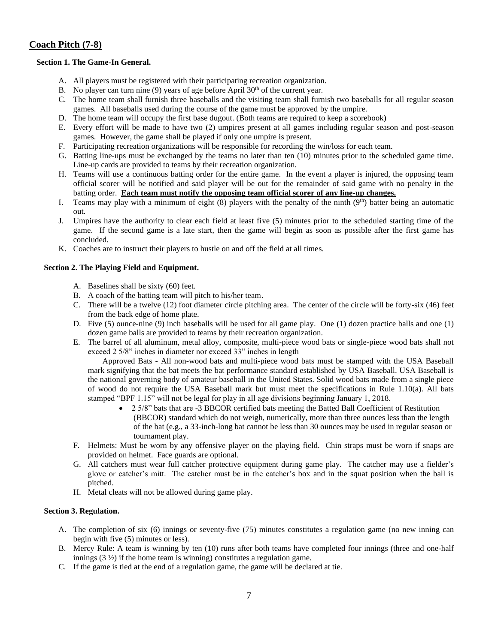# **Coach Pitch (7-8)**

## **Section 1. The Game-In General.**

- A. All players must be registered with their participating recreation organization.
- B. No player can turn nine (9) years of age before April  $30<sup>th</sup>$  of the current year.
- C. The home team shall furnish three baseballs and the visiting team shall furnish two baseballs for all regular season games. All baseballs used during the course of the game must be approved by the umpire.
- D. The home team will occupy the first base dugout. (Both teams are required to keep a scorebook)
- E. Every effort will be made to have two (2) umpires present at all games including regular season and post-season games. However, the game shall be played if only one umpire is present.
- F. Participating recreation organizations will be responsible for recording the win/loss for each team.
- G. Batting line-ups must be exchanged by the teams no later than ten (10) minutes prior to the scheduled game time. Line-up cards are provided to teams by their recreation organization.
- H. Teams will use a continuous batting order for the entire game. In the event a player is injured, the opposing team official scorer will be notified and said player will be out for the remainder of said game with no penalty in the batting order. **Each team must notify the opposing team official scorer of any line-up changes.**
- I. Teams may play with a minimum of eight  $(8)$  players with the penalty of the ninth  $(9<sup>th</sup>)$  batter being an automatic out.
- J. Umpires have the authority to clear each field at least five (5) minutes prior to the scheduled starting time of the game. If the second game is a late start, then the game will begin as soon as possible after the first game has concluded.
- K. Coaches are to instruct their players to hustle on and off the field at all times.

## **Section 2. The Playing Field and Equipment.**

- A. Baselines shall be sixty (60) feet.
- B. A coach of the batting team will pitch to his/her team.
- C. There will be a twelve (12) foot diameter circle pitching area. The center of the circle will be forty-six (46) feet from the back edge of home plate.
- D. Five (5) ounce-nine (9) inch baseballs will be used for all game play. One (1) dozen practice balls and one (1) dozen game balls are provided to teams by their recreation organization.
- E. The barrel of all aluminum, metal alloy, composite, multi-piece wood bats or single-piece wood bats shall not exceed 2 5/8" inches in diameter nor exceed 33" inches in length

Approved Bats - All non-wood bats and multi-piece wood bats must be stamped with the USA Baseball mark signifying that the bat meets the bat performance standard established by USA Baseball. USA Baseball is the national governing body of amateur baseball in the United States. Solid wood bats made from a single piece of wood do not require the USA Baseball mark but must meet the specifications in Rule 1.10(a). All bats stamped "BPF 1.15" will not be legal for play in all age divisions beginning January 1, 2018.

- 2 5/8" bats that are -3 BBCOR certified bats meeting the Batted Ball Coefficient of Restitution (BBCOR) standard which do not weigh, numerically, more than three ounces less than the length of the bat (e.g., a 33-inch-long bat cannot be less than 30 ounces may be used in regular season or tournament play.
- F. Helmets: Must be worn by any offensive player on the playing field. Chin straps must be worn if snaps are provided on helmet. Face guards are optional.
- G. All catchers must wear full catcher protective equipment during game play. The catcher may use a fielder's glove or catcher's mitt. The catcher must be in the catcher's box and in the squat position when the ball is pitched.
- H. Metal cleats will not be allowed during game play.

#### **Section 3. Regulation.**

- A. The completion of six (6) innings or seventy-five (75) minutes constitutes a regulation game (no new inning can begin with five (5) minutes or less).
- B. Mercy Rule: A team is winning by ten (10) runs after both teams have completed four innings (three and one-half innings (3 ½) if the home team is winning) constitutes a regulation game.
- C. If the game is tied at the end of a regulation game, the game will be declared at tie.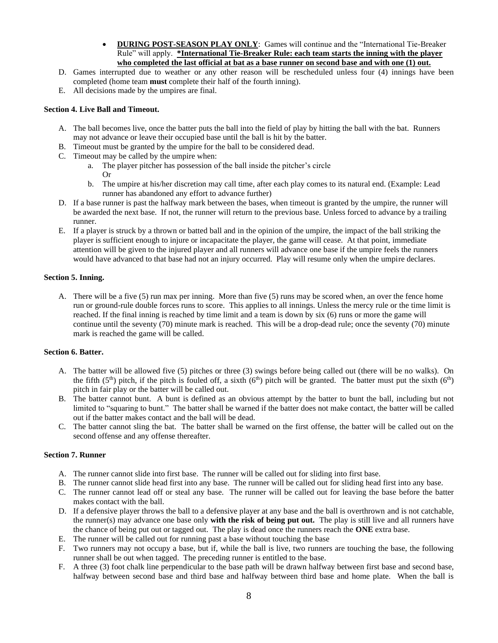- **DURING POST-SEASON PLAY ONLY**: Games will continue and the "International Tie-Breaker Rule" will apply. **\*International Tie-Breaker Rule: each team starts the inning with the player who completed the last official at bat as a base runner on second base and with one (1) out.**
- D. Games interrupted due to weather or any other reason will be rescheduled unless four (4) innings have been completed (home team **must** complete their half of the fourth inning).
- E. All decisions made by the umpires are final.

### **Section 4. Live Ball and Timeout.**

- A. The ball becomes live, once the batter puts the ball into the field of play by hitting the ball with the bat. Runners may not advance or leave their occupied base until the ball is hit by the batter.
- B. Timeout must be granted by the umpire for the ball to be considered dead.
- C. Timeout may be called by the umpire when:
	- a. The player pitcher has possession of the ball inside the pitcher's circle Or
	- b. The umpire at his/her discretion may call time, after each play comes to its natural end. (Example: Lead runner has abandoned any effort to advance further)
- D. If a base runner is past the halfway mark between the bases, when timeout is granted by the umpire, the runner will be awarded the next base. If not, the runner will return to the previous base. Unless forced to advance by a trailing runner.
- E. If a player is struck by a thrown or batted ball and in the opinion of the umpire, the impact of the ball striking the player is sufficient enough to injure or incapacitate the player, the game will cease. At that point, immediate attention will be given to the injured player and all runners will advance one base if the umpire feels the runners would have advanced to that base had not an injury occurred. Play will resume only when the umpire declares.

#### **Section 5. Inning.**

A. There will be a five (5) run max per inning. More than five (5) runs may be scored when, an over the fence home run or ground-rule double forces runs to score. This applies to all innings. Unless the mercy rule or the time limit is reached. If the final inning is reached by time limit and a team is down by six (6) runs or more the game will continue until the seventy (70) minute mark is reached. This will be a drop-dead rule; once the seventy (70) minute mark is reached the game will be called.

#### **Section 6. Batter.**

- A. The batter will be allowed five (5) pitches or three (3) swings before being called out (there will be no walks). On the fifth (5<sup>th</sup>) pitch, if the pitch is fouled off, a sixth (6<sup>th</sup>) pitch will be granted. The batter must put the sixth (6<sup>th</sup>) pitch in fair play or the batter will be called out.
- B. The batter cannot bunt. A bunt is defined as an obvious attempt by the batter to bunt the ball, including but not limited to "squaring to bunt." The batter shall be warned if the batter does not make contact, the batter will be called out if the batter makes contact and the ball will be dead.
- C. The batter cannot sling the bat. The batter shall be warned on the first offense, the batter will be called out on the second offense and any offense thereafter.

### **Section 7. Runner**

- A. The runner cannot slide into first base. The runner will be called out for sliding into first base.
- B. The runner cannot slide head first into any base. The runner will be called out for sliding head first into any base.
- C. The runner cannot lead off or steal any base. The runner will be called out for leaving the base before the batter makes contact with the ball.
- D. If a defensive player throws the ball to a defensive player at any base and the ball is overthrown and is not catchable, the runner(s) may advance one base only **with the risk of being put out.** The play is still live and all runners have the chance of being put out or tagged out. The play is dead once the runners reach the **ONE** extra base.
- E. The runner will be called out for running past a base without touching the base
- F. Two runners may not occupy a base, but if, while the ball is live, two runners are touching the base, the following runner shall be out when tagged. The preceding runner is entitled to the base.
- F. A three (3) foot chalk line perpendicular to the base path will be drawn halfway between first base and second base, halfway between second base and third base and halfway between third base and home plate. When the ball is